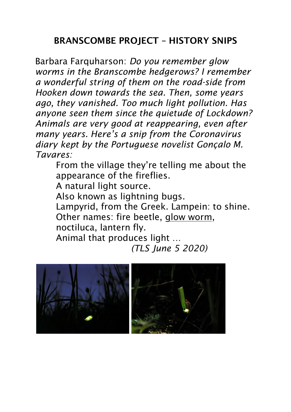## BRANSCOMBE PROJECT – HISTORY SNIPS

Barbara Farquharson: *Do you remember glow worms in the Branscombe hedgerows? I remember a wonderful string of them on the road-side from Hooken down towards the sea. Then, some years ago, they vanished. Too much light pollution. Has anyone seen them since the quietude of Lockdown? Animals are very good at reappearing, even after many years. Here's a snip from the Coronavirus diary kept by the Portuguese novelist Gonçalo M. Tavares:* 

From the village they're telling me about the appearance of the fireflies.

A natural light source.

Also known as lightning bugs.

Lampyrid, from the Greek. Lampein: to shine. Other names: fire beetle, glow worm, noctiluca, lantern fly.

Animal that produces light …

 *(TLS June 5 2020)*

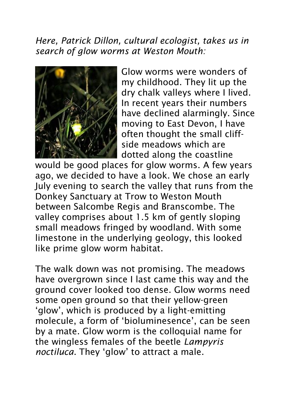*Here, Patrick Dillon, cultural ecologist, takes us in search of glow worms at Weston Mouth:* 



Glow worms were wonders of my childhood. They lit up the dry chalk valleys where I lived. In recent years their numbers have declined alarmingly. Since moving to East Devon, I have often thought the small cliffside meadows which are dotted along the coastline

would be good places for glow worms. A few years ago, we decided to have a look. We chose an early July evening to search the valley that runs from the Donkey Sanctuary at Trow to Weston Mouth between Salcombe Regis and Branscombe. The valley comprises about 1.5 km of gently sloping small meadows fringed by woodland. With some limestone in the underlying geology, this looked like prime glow worm habitat.

The walk down was not promising. The meadows have overgrown since I last came this way and the ground cover looked too dense. Glow worms need some open ground so that their yellow-green 'glow', which is produced by a light-emitting molecule, a form of 'bioluminesence', can be seen by a mate. Glow worm is the colloquial name for the wingless females of the beetle *Lampyris noctiluca*. They 'glow' to attract a male.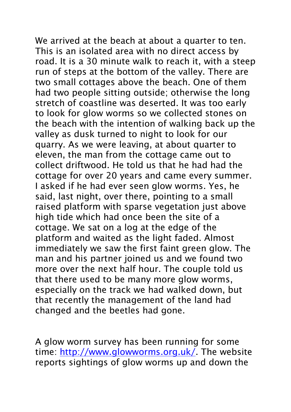We arrived at the beach at about a quarter to ten. This is an isolated area with no direct access by road. It is a 30 minute walk to reach it, with a steep run of steps at the bottom of the valley. There are two small cottages above the beach. One of them had two people sitting outside; otherwise the long stretch of coastline was deserted. It was too early to look for glow worms so we collected stones on the beach with the intention of walking back up the valley as dusk turned to night to look for our quarry. As we were leaving, at about quarter to eleven, the man from the cottage came out to collect driftwood. He told us that he had had the cottage for over 20 years and came every summer. I asked if he had ever seen glow worms. Yes, he said, last night, over there, pointing to a small raised platform with sparse vegetation just above high tide which had once been the site of a cottage. We sat on a log at the edge of the platform and waited as the light faded. Almost immediately we saw the first faint green glow. The man and his partner joined us and we found two more over the next half hour. The couple told us that there used to be many more glow worms, especially on the track we had walked down, but that recently the management of the land had changed and the beetles had gone.

A glow worm survey has been running for some time: [http://www.glowworms.org.uk/.](http://www.glowworms.org.uk/) The website reports sightings of glow worms up and down the